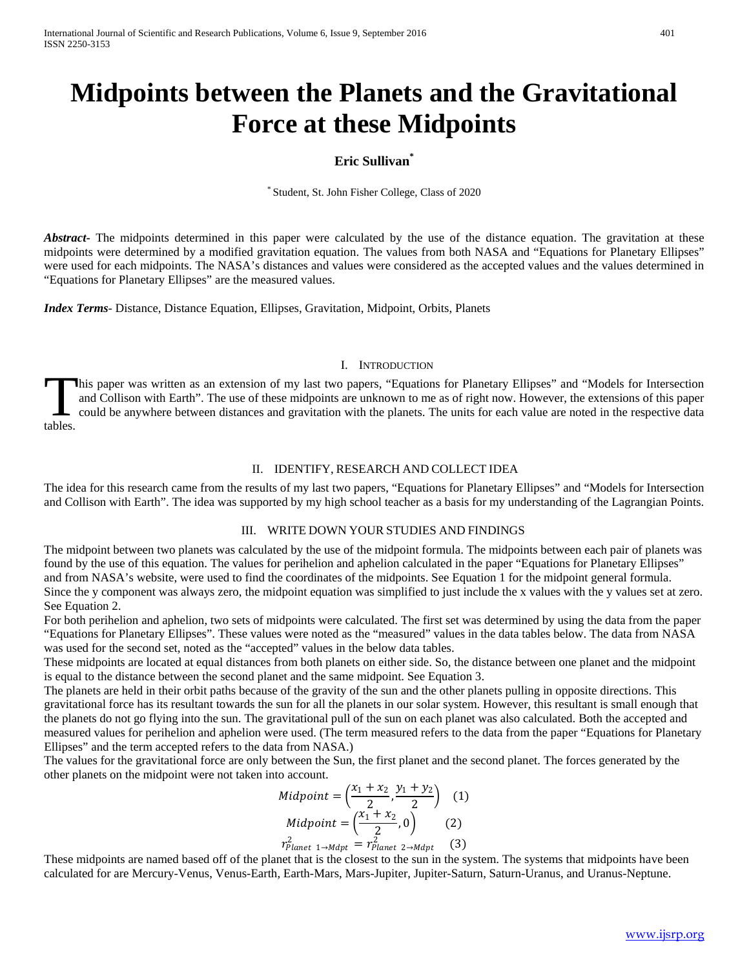# **Midpoints between the Planets and the Gravitational Force at these Midpoints**

# **Eric Sullivan\***

Student, St. John Fisher College, Class of 2020

*Abstract* The midpoints determined in this paper were calculated by the use of the distance equation. The gravitation at these midpoints were determined by a modified gravitation equation. The values from both NASA and "Equations for Planetary Ellipses" were used for each midpoints. The NASA's distances and values were considered as the accepted values and the values determined in "Equations for Planetary Ellipses" are the measured values.

*Index Terms*- Distance, Distance Equation, Ellipses, Gravitation, Midpoint, Orbits, Planets

### I. INTRODUCTION

his paper was written as an extension of my last two papers, "Equations for Planetary Ellipses" and "Models for Intersection and Collison with Earth". The use of these midpoints are unknown to me as of right now. However, the extensions of this paper could be anywhere between distances and gravitation with the planets. The units for each value are noted in the respective data Index.

## II. IDENTIFY, RESEARCH AND COLLECT IDEA

The idea for this research came from the results of my last two papers, "Equations for Planetary Ellipses" and "Models for Intersection and Collison with Earth". The idea was supported by my high school teacher as a basis for my understanding of the Lagrangian Points.

## III. WRITE DOWN YOUR STUDIES AND FINDINGS

The midpoint between two planets was calculated by the use of the midpoint formula. The midpoints between each pair of planets was found by the use of this equation. The values for perihelion and aphelion calculated in the paper "Equations for Planetary Ellipses" and from NASA's website, were used to find the coordinates of the midpoints. See Equation 1 for the midpoint general formula. Since the y component was always zero, the midpoint equation was simplified to just include the x values with the y values set at zero. See Equation 2.

For both perihelion and aphelion, two sets of midpoints were calculated. The first set was determined by using the data from the paper "Equations for Planetary Ellipses". These values were noted as the "measured" values in the data tables below. The data from NASA was used for the second set, noted as the "accepted" values in the below data tables.

These midpoints are located at equal distances from both planets on either side. So, the distance between one planet and the midpoint is equal to the distance between the second planet and the same midpoint. See Equation 3.

The planets are held in their orbit paths because of the gravity of the sun and the other planets pulling in opposite directions. This gravitational force has its resultant towards the sun for all the planets in our solar system. However, this resultant is small enough that the planets do not go flying into the sun. The gravitational pull of the sun on each planet was also calculated. Both the accepted and measured values for perihelion and aphelion were used. (The term measured refers to the data from the paper "Equations for Planetary Ellipses" and the term accepted refers to the data from NASA.)

The values for the gravitational force are only between the Sun, the first planet and the second planet. The forces generated by the other planets on the midpoint were not taken into account.

Midpoint = 
$$
\left(\frac{x_1 + x_2}{2}, \frac{y_1 + y_2}{2}\right)
$$
 (1)  
\nMidpoint = 
$$
\left(\frac{x_1 + x_2}{2}, 0\right)
$$
 (2)  
\n
$$
r_{Planet 1 \rightarrow Mapt}^2 = r_{Planet 2 \rightarrow Mapt}^2
$$
 (3)

These midpoints are named based off of the planet that is the closest to the sun in the system. The systems that midpoints have been calculated for are Mercury-Venus, Venus-Earth, Earth-Mars, Mars-Jupiter, Jupiter-Saturn, Saturn-Uranus, and Uranus-Neptune.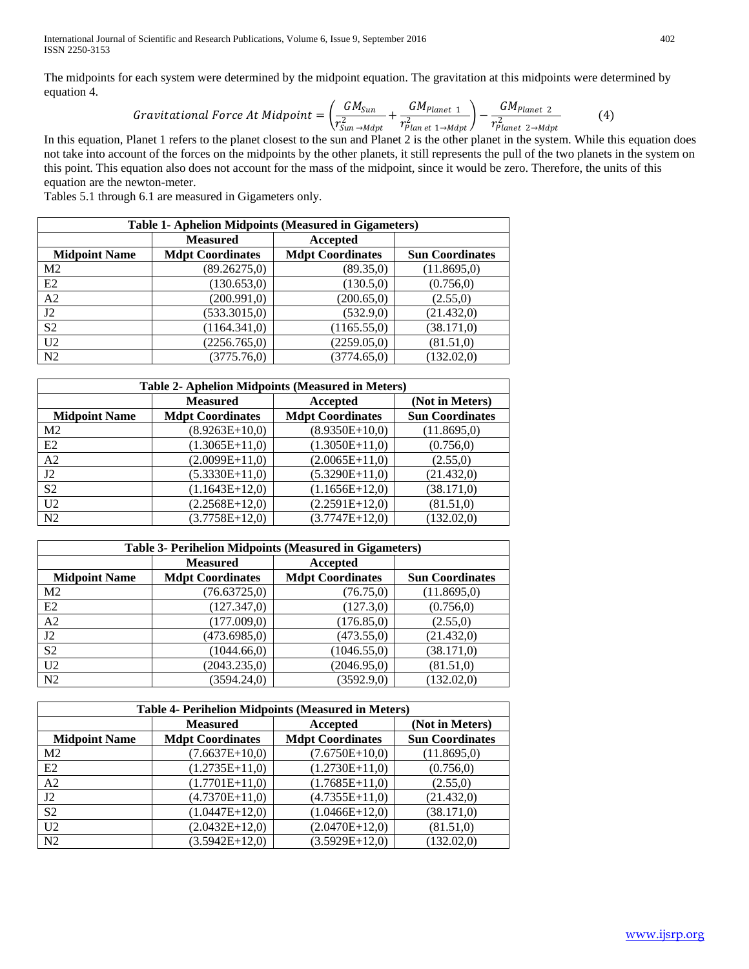The midpoints for each system were determined by the midpoint equation. The gravitation at this midpoints were determined by equation 4.

$$
Gravitational Force At Midpoint = \left(\frac{GM_{Sun}}{r_{Sun \to Mapt}^2} + \frac{GM_{Planet 1}}{r_{Planet 1 \to Mapt}^2}\right) - \frac{GM_{Planet 2}}{r_{Planet 2 \to Mapt}^2}
$$
(4)

In this equation, Planet 1 refers to the planet closest to the sun and Planet 2 is the other planet in the system. While this equation does not take into account of the forces on the midpoints by the other planets, it still represents the pull of the two planets in the system on this point. This equation also does not account for the mass of the midpoint, since it would be zero. Therefore, the units of this equation are the newton-meter.

Tables 5.1 through 6.1 are measured in Gigameters only.

| <b>Table 1- Aphelion Midpoints (Measured in Gigameters)</b> |                         |                         |                        |
|-------------------------------------------------------------|-------------------------|-------------------------|------------------------|
|                                                             | <b>Measured</b>         | Accepted                |                        |
| <b>Midpoint Name</b>                                        | <b>Mdpt Coordinates</b> | <b>Mdpt Coordinates</b> | <b>Sun Coordinates</b> |
| M <sub>2</sub>                                              | (89.26275,0)            | (89.35,0)               | (11.8695,0)            |
| E2                                                          | (130.653,0)             | (130.5,0)               | (0.756, 0)             |
| A2                                                          | (200.991, 0)            | (200.65,0)              | (2.55,0)               |
| J2                                                          | (533.3015,0)            | (532.9,0)               | (21.432,0)             |
| S <sub>2</sub>                                              | (1164.341,0)            | (1165.55,0)             | (38.171,0)             |
| U <sub>2</sub>                                              | (2256.765,0)            | (2259.05,0)             | (81.51,0)              |
| N <sub>2</sub>                                              | (3775.76,0)             | (3774.65,0)             | (132.02,0)             |

| <b>Table 2- Aphelion Midpoints (Measured in Meters)</b> |                         |                         |                        |
|---------------------------------------------------------|-------------------------|-------------------------|------------------------|
|                                                         | <b>Measured</b>         | Accepted                | (Not in Meters)        |
| <b>Midpoint Name</b>                                    | <b>Mdpt Coordinates</b> | <b>Mdpt Coordinates</b> | <b>Sun Coordinates</b> |
| M <sub>2</sub>                                          | $(8.9263E+10,0)$        | $(8.9350E+10,0)$        | (11.8695,0)            |
| E2                                                      | $(1.3065E+11,0)$        | $(1.3050E+11,0)$        | (0.756, 0)             |
| A <sub>2</sub>                                          | $(2.0099E+11,0)$        | $(2.0065E+11,0)$        | (2.55,0)               |
| J2                                                      | $(5.3330E+11,0)$        | $(5.3290E+11,0)$        | (21.432,0)             |
| S <sub>2</sub>                                          | $(1.1643E+12,0)$        | $(1.1656E+12,0)$        | (38.171,0)             |
| U <sub>2</sub>                                          | $(2.2568E+12,0)$        | $(2.2591E+12,0)$        | (81.51,0)              |
| N2                                                      | $(3.7758E+12,0)$        | $(3.7747E+12,0)$        | (132.02,0)             |

| Table 3- Perihelion Midpoints (Measured in Gigameters) |                         |                         |                        |
|--------------------------------------------------------|-------------------------|-------------------------|------------------------|
|                                                        | <b>Measured</b>         | Accepted                |                        |
| <b>Midpoint Name</b>                                   | <b>Mdpt Coordinates</b> | <b>Mdpt Coordinates</b> | <b>Sun Coordinates</b> |
| M <sub>2</sub>                                         | (76.63725,0)            | (76.75,0)               | (11.8695,0)            |
| E2                                                     | (127.347,0)             | (127.3,0)               | (0.756, 0)             |
| A2                                                     | (177.009,0)             | (176.85,0)              | (2.55,0)               |
| J2                                                     | (473.6985,0)            | (473.55,0)              | (21.432,0)             |
| S <sub>2</sub>                                         | (1044.66,0)             | (1046.55,0)             | (38.171,0)             |
| U <sub>2</sub>                                         | (2043.235,0)            | (2046.95,0)             | (81.51,0)              |
| N2                                                     | (3594.24,0)             | (3592.9,0)              | (132.02,0)             |

| <b>Table 4- Perihelion Midpoints (Measured in Meters)</b> |                         |                         |                        |
|-----------------------------------------------------------|-------------------------|-------------------------|------------------------|
|                                                           | <b>Measured</b>         | Accepted                | (Not in Meters)        |
| <b>Midpoint Name</b>                                      | <b>Mdpt Coordinates</b> | <b>Mdpt Coordinates</b> | <b>Sun Coordinates</b> |
| M <sub>2</sub>                                            | $(7.6637E+10,0)$        | $(7.6750E+10,0)$        | (11.8695,0)            |
| E2                                                        | $(1.2735E+11,0)$        | $(1.2730E+11,0)$        | (0.756, 0)             |
| A2                                                        | $(1.7701E+11,0)$        | $(1.7685E+11,0)$        | (2.55,0)               |
| J2                                                        | $(4.7370E+11,0)$        | $(4.7355E+11,0)$        | (21.432,0)             |
| S <sub>2</sub>                                            | $(1.0447E+12,0)$        | $(1.0466E+12,0)$        | (38.171,0)             |
| U <sub>2</sub>                                            | $(2.0432E+12,0)$        | $(2.0470E+12,0)$        | (81.51,0)              |
| N <sub>2</sub>                                            | $(3.5942E+12,0)$        | $(3.5929E+12,0)$        | (132.02,0)             |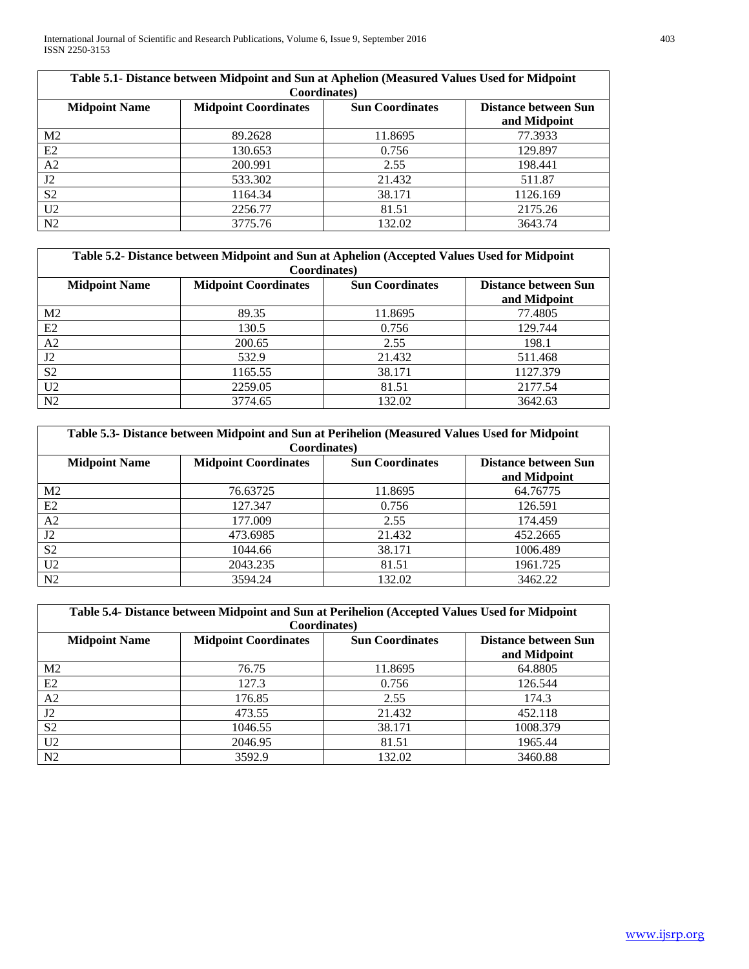International Journal of Scientific and Research Publications, Volume 6, Issue 9, September 2016 403 ISSN 2250-3153

| Table 5.1- Distance between Midpoint and Sun at Aphelion (Measured Values Used for Midpoint<br>Coordinates) |                             |                        |                                             |
|-------------------------------------------------------------------------------------------------------------|-----------------------------|------------------------|---------------------------------------------|
| <b>Midpoint Name</b>                                                                                        | <b>Midpoint Coordinates</b> | <b>Sun Coordinates</b> | <b>Distance between Sun</b><br>and Midpoint |
| M <sub>2</sub>                                                                                              | 89.2628                     | 11.8695                | 77.3933                                     |
| E2                                                                                                          | 130.653                     | 0.756                  | 129.897                                     |
| A <sub>2</sub>                                                                                              | 200.991                     | 2.55                   | 198.441                                     |
| J2                                                                                                          | 533.302                     | 21.432                 | 511.87                                      |
| S <sub>2</sub>                                                                                              | 1164.34                     | 38.171                 | 1126.169                                    |
| U <sub>2</sub>                                                                                              | 2256.77                     | 81.51                  | 2175.26                                     |
| N <sub>2</sub>                                                                                              | 3775.76                     | 132.02                 | 3643.74                                     |

| Table 5.2- Distance between Midpoint and Sun at Aphelion (Accepted Values Used for Midpoint |                             |                        |                                             |
|---------------------------------------------------------------------------------------------|-----------------------------|------------------------|---------------------------------------------|
|                                                                                             | Coordinates)                |                        |                                             |
| <b>Midpoint Name</b>                                                                        | <b>Midpoint Coordinates</b> | <b>Sun Coordinates</b> | <b>Distance between Sun</b><br>and Midpoint |
| M <sub>2</sub>                                                                              | 89.35                       | 11.8695                | 77.4805                                     |
| E2                                                                                          | 130.5                       | 0.756                  | 129.744                                     |
| A2                                                                                          | 200.65                      | 2.55                   | 198.1                                       |
| J2                                                                                          | 532.9                       | 21.432                 | 511.468                                     |
| S <sub>2</sub>                                                                              | 1165.55                     | 38.171                 | 1127.379                                    |
| U <sub>2</sub>                                                                              | 2259.05                     | 81.51                  | 2177.54                                     |
| N <sub>2</sub>                                                                              | 3774.65                     | 132.02                 | 3642.63                                     |

| Table 5.3- Distance between Midpoint and Sun at Perihelion (Measured Values Used for Midpoint                                                        |          |         |          |  |
|------------------------------------------------------------------------------------------------------------------------------------------------------|----------|---------|----------|--|
| <b>Coordinates</b> )<br><b>Midpoint Name</b><br><b>Midpoint Coordinates</b><br><b>Sun Coordinates</b><br><b>Distance between Sun</b><br>and Midpoint |          |         |          |  |
| M <sub>2</sub>                                                                                                                                       | 76.63725 | 11.8695 | 64.76775 |  |
| E2                                                                                                                                                   | 127.347  | 0.756   | 126.591  |  |
| A <sub>2</sub>                                                                                                                                       | 177.009  | 2.55    | 174.459  |  |
| J2                                                                                                                                                   | 473.6985 | 21.432  | 452.2665 |  |
| S <sub>2</sub>                                                                                                                                       | 1044.66  | 38.171  | 1006.489 |  |
| U <sub>2</sub>                                                                                                                                       | 2043.235 | 81.51   | 1961.725 |  |
| N2                                                                                                                                                   | 3594.24  | 132.02  | 3462.22  |  |

| Table 5.4- Distance between Midpoint and Sun at Perihelion (Accepted Values Used for Midpoint |                             |                        |                                             |
|-----------------------------------------------------------------------------------------------|-----------------------------|------------------------|---------------------------------------------|
|                                                                                               | <b>Coordinates</b> )        |                        |                                             |
| <b>Midpoint Name</b>                                                                          | <b>Midpoint Coordinates</b> | <b>Sun Coordinates</b> | <b>Distance between Sun</b><br>and Midpoint |
| M <sub>2</sub>                                                                                | 76.75                       | 11.8695                | 64.8805                                     |
| E2                                                                                            | 127.3                       | 0.756                  | 126.544                                     |
| A2                                                                                            | 176.85                      | 2.55                   | 174.3                                       |
| J2                                                                                            | 473.55                      | 21.432                 | 452.118                                     |
| S <sub>2</sub>                                                                                | 1046.55                     | 38.171                 | 1008.379                                    |
| U <sub>2</sub>                                                                                | 2046.95                     | 81.51                  | 1965.44                                     |
| N <sub>2</sub>                                                                                | 3592.9                      | 132.02                 | 3460.88                                     |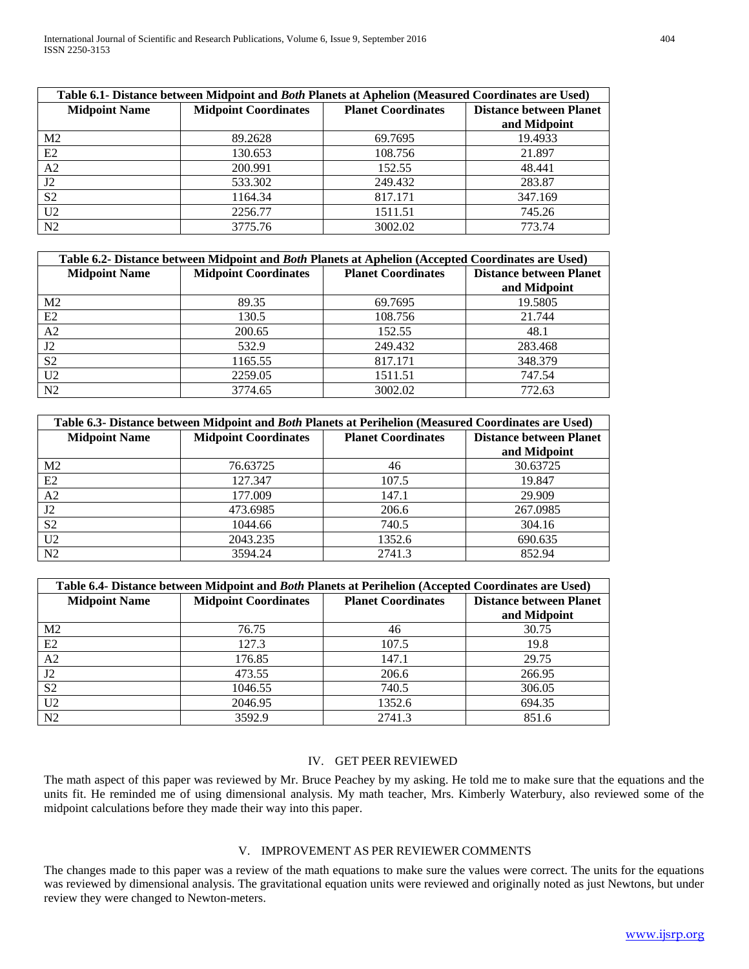| Table 6.1- Distance between Midpoint and Both Planets at Aphelion (Measured Coordinates are Used) |                             |                           |                                |
|---------------------------------------------------------------------------------------------------|-----------------------------|---------------------------|--------------------------------|
| <b>Midpoint Name</b>                                                                              | <b>Midpoint Coordinates</b> | <b>Planet Coordinates</b> | <b>Distance between Planet</b> |
|                                                                                                   |                             |                           | and Midpoint                   |
| M <sub>2</sub>                                                                                    | 89.2628                     | 69.7695                   | 19.4933                        |
| E2                                                                                                | 130.653                     | 108.756                   | 21.897                         |
| A2                                                                                                | 200.991                     | 152.55                    | 48.441                         |
| J2                                                                                                | 533.302                     | 249.432                   | 283.87                         |
| S <sub>2</sub>                                                                                    | 1164.34                     | 817.171                   | 347.169                        |
| U <sub>2</sub>                                                                                    | 2256.77                     | 1511.51                   | 745.26                         |
| N2                                                                                                | 3775.76                     | 3002.02                   | 773.74                         |

| Table 6.2- Distance between Midpoint and Both Planets at Aphelion (Accepted Coordinates are Used) |                             |                           |                                |
|---------------------------------------------------------------------------------------------------|-----------------------------|---------------------------|--------------------------------|
| <b>Midpoint Name</b>                                                                              | <b>Midpoint Coordinates</b> | <b>Planet Coordinates</b> | <b>Distance between Planet</b> |
|                                                                                                   |                             |                           | and Midpoint                   |
| M <sub>2</sub>                                                                                    | 89.35                       | 69.7695                   | 19.5805                        |
| E2                                                                                                | 130.5                       | 108.756                   | 21.744                         |
| A2                                                                                                | 200.65                      | 152.55                    | 48.1                           |
| J2                                                                                                | 532.9                       | 249.432                   | 283.468                        |
| S <sub>2</sub>                                                                                    | 1165.55                     | 817.171                   | 348.379                        |
| U <sub>2</sub>                                                                                    | 2259.05                     | 1511.51                   | 747.54                         |
| N2                                                                                                | 3774.65                     | 3002.02                   | 772.63                         |

| Table 6.3- Distance between Midpoint and Both Planets at Perihelion (Measured Coordinates are Used) |                             |                           |                                |  |
|-----------------------------------------------------------------------------------------------------|-----------------------------|---------------------------|--------------------------------|--|
| <b>Midpoint Name</b>                                                                                | <b>Midpoint Coordinates</b> | <b>Planet Coordinates</b> | <b>Distance between Planet</b> |  |
|                                                                                                     |                             |                           | and Midpoint                   |  |
| M <sub>2</sub>                                                                                      | 76.63725                    | 46                        | 30.63725                       |  |
| E2                                                                                                  | 127.347                     | 107.5                     | 19.847                         |  |
| A <sub>2</sub>                                                                                      | 177.009                     | 147.1                     | 29.909                         |  |
| J2                                                                                                  | 473.6985                    | 206.6                     | 267.0985                       |  |
| S <sub>2</sub>                                                                                      | 1044.66                     | 740.5                     | 304.16                         |  |
| U <sub>2</sub>                                                                                      | 2043.235                    | 1352.6                    | 690.635                        |  |
| N2                                                                                                  | 3594.24                     | 2741.3                    | 852.94                         |  |

| Table 6.4- Distance between Midpoint and Both Planets at Perihelion (Accepted Coordinates are Used) |                             |                           |                                |
|-----------------------------------------------------------------------------------------------------|-----------------------------|---------------------------|--------------------------------|
| <b>Midpoint Name</b>                                                                                | <b>Midpoint Coordinates</b> | <b>Planet Coordinates</b> | <b>Distance between Planet</b> |
|                                                                                                     |                             |                           | and Midpoint                   |
| M <sub>2</sub>                                                                                      | 76.75                       | 46                        | 30.75                          |
| E2                                                                                                  | 127.3                       | 107.5                     | 19.8                           |
| A2                                                                                                  | 176.85                      | 147.1                     | 29.75                          |
| J2                                                                                                  | 473.55                      | 206.6                     | 266.95                         |
| S <sub>2</sub>                                                                                      | 1046.55                     | 740.5                     | 306.05                         |
| U <sub>2</sub>                                                                                      | 2046.95                     | 1352.6                    | 694.35                         |
| N2                                                                                                  | 3592.9                      | 2741.3                    | 851.6                          |

# IV. GET PEER REVIEWED

The math aspect of this paper was reviewed by Mr. Bruce Peachey by my asking. He told me to make sure that the equations and the units fit. He reminded me of using dimensional analysis. My math teacher, Mrs. Kimberly Waterbury, also reviewed some of the midpoint calculations before they made their way into this paper.

## V. IMPROVEMENT AS PER REVIEWER COMMENTS

The changes made to this paper was a review of the math equations to make sure the values were correct. The units for the equations was reviewed by dimensional analysis. The gravitational equation units were reviewed and originally noted as just Newtons, but under review they were changed to Newton-meters.